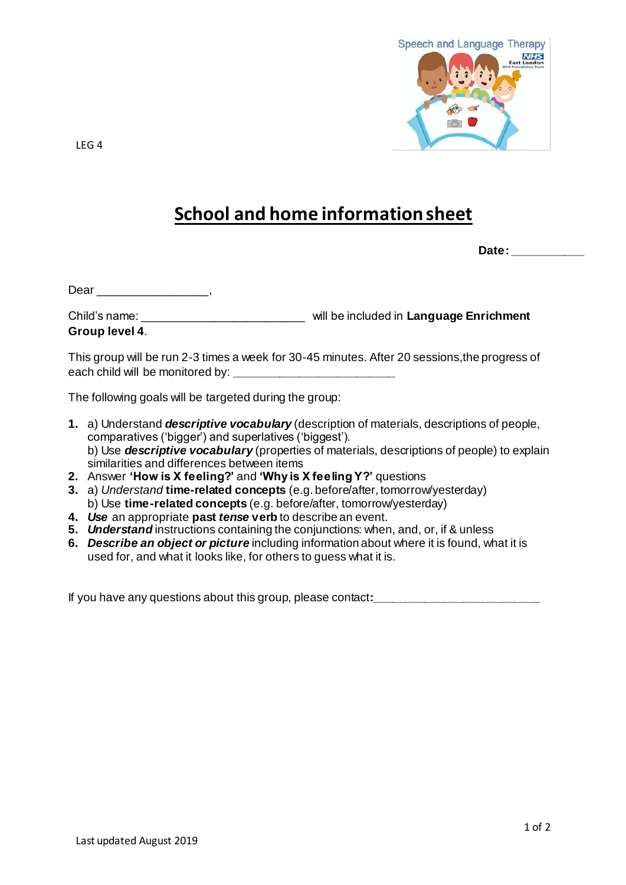

LEG 4

## **School and home information sheet**

**Date: \_\_\_\_\_\_\_\_\_\_\_**

Dear \_\_\_\_\_\_\_\_\_\_\_\_\_\_\_\_,

Child's name: \_\_\_\_\_\_\_\_\_\_\_\_\_\_\_\_\_\_\_\_\_\_\_\_\_ will be included in **Language Enrichment Group level 4**.

This group will be run 2-3 times a week for 30-45 minutes. After 20 sessions,the progress of each child will be monitored by: **\_\_\_\_\_\_\_\_\_\_\_\_\_\_\_\_\_\_\_\_\_\_\_\_\_**

The following goals will be targeted during the group:

- **1.** a) Understand *descriptive vocabulary* (description of materials, descriptions of people, comparatives ('bigger') and superlatives ('biggest'). b) Use *descriptive vocabulary* (properties of materials, descriptions of people) to explain similarities and differences between items
- **2.** Answer **'How is X feeling?'** and **'Why is X feeling Y?'** questions
- **3.** a) *Understand* **time-related concepts** (e.g. before/after, tomorrow/yesterday) b) Use **time-related concepts** (e.g. before/after, tomorrow/yesterday)
- **4.** *Use* an appropriate **past** *tense* **verb** to describe an event.
- **5.** *Understand* instructions containing the conjunctions: when, and, or, if & unless
- **6.** *Describe an object or picture* including information about where it is found, what it is used for, and what it looks like, for others to guess what it is.

If you have any questions about this group, please contact**:\_\_\_\_\_\_\_\_\_\_\_\_\_\_\_\_\_\_\_\_\_\_\_\_\_\_**